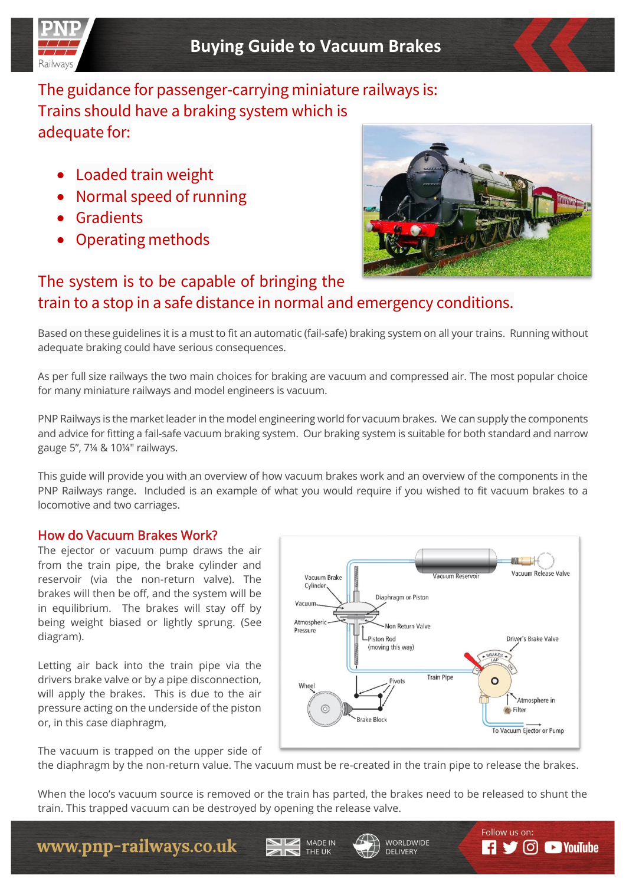

# The guidance for passenger-carrying miniature railways is: Trains should have a braking system which is adequate for:

- Loaded train weight
- Normal speed of running
- Gradients
- Operating methods



# The system is to be capable of bringing the train to a stop in a safe distance in normal and emergency conditions.

Based on these guidelines it is a must to fit an automatic (fail-safe) braking system on all your trains. Running without adequate braking could have serious consequences.

As per full size railways the two main choices for braking are vacuum and compressed air. The most popular choice for many miniature railways and model engineers is vacuum.

PNP Railways is the market leader in the model engineering world for vacuum brakes. We can supply the components and advice for fitting a fail-safe vacuum braking system. Our braking system is suitable for both standard and narrow gauge 5", 7¼ & 10¼" railways.

This guide will provide you with an overview of how vacuum brakes work and an overview of the components in the PNP Railways range. Included is an example of what you would require if you wished to fit vacuum brakes to a locomotive and two carriages.

## How do Vacuum Brakes Work?

The ejector or vacuum pump draws the air from the train pipe, the brake cylinder and reservoir (via the non-return valve). The brakes will then be off, and the system will be in equilibrium. The brakes will stay off by being weight biased or lightly sprung. (See diagram).

Letting air back into the train pipe via the drivers brake valve or by a pipe disconnection, will apply the brakes. This is due to the air pressure acting on the underside of the piston or, in this case diaphragm,



WORLDWIDE

**DELIVERY** 

Follow us on:

 $\Box$   $\Box$   $\Box$  YouTube

The vacuum is trapped on the upper side of

the diaphragm by the non-return value. The vacuum must be re-created in the train pipe to release the brakes.

When the loco's vacuum source is removed or the train has parted, the brakes need to be released to shunt the train. This trapped vacuum can be destroyed by opening the release valve.

MADE IN

THE UK

# www.pnp-railways.co.uk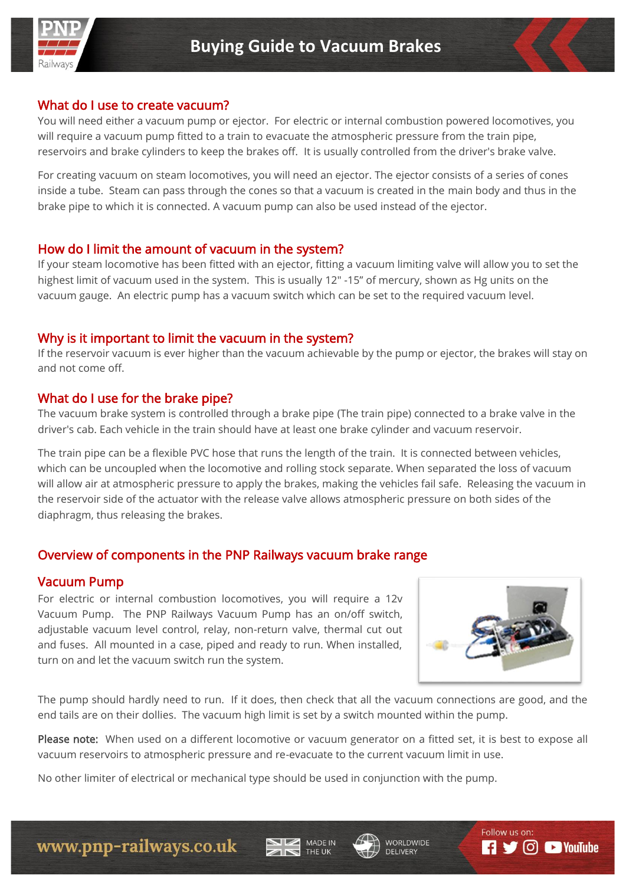

#### What do I use to create vacuum?

You will need either a vacuum pump or ejector. For electric or internal combustion powered locomotives, you will require a vacuum pump fitted to a train to evacuate the atmospheric pressure from the train pipe, reservoirs and brake cylinders to keep the brakes off. It is usually controlled from the driver's brake valve.

For creating vacuum on steam locomotives, you will need an ejector. The ejector consists of a series of cones inside a tube. Steam can pass through the cones so that a vacuum is created in the main body and thus in the brake pipe to which it is connected. A vacuum pump can also be used instead of the ejector.

#### How do I limit the amount of vacuum in the system?

If your steam locomotive has been fitted with an ejector, fitting a vacuum limiting valve will allow you to set the highest limit of vacuum used in the system. This is usually 12" -15" of mercury, shown as Hg units on the vacuum gauge. An electric pump has a vacuum switch which can be set to the required vacuum level.

#### Why is it important to limit the vacuum in the system?

If the reservoir vacuum is ever higher than the vacuum achievable by the pump or ejector, the brakes will stay on and not come off.

#### What do I use for the brake pipe?

The vacuum brake system is controlled through a brake pipe (The train pipe) connected to a brake valve in the driver's cab. Each vehicle in the train should have at least one brake cylinder and vacuum reservoir.

The train pipe can be a flexible PVC hose that runs the length of the train. It is connected between vehicles, which can be uncoupled when the locomotive and rolling stock separate. When separated the loss of vacuum will allow air at atmospheric pressure to apply the brakes, making the vehicles fail safe. Releasing the vacuum in the reservoir side of the actuator with the release valve allows atmospheric pressure on both sides of the diaphragm, thus releasing the brakes.

#### Overview of components in the PNP Railways vacuum brake range

#### Vacuum Pump

For electric or internal combustion locomotives, you will require a 12v Vacuum Pump. The PNP Railways Vacuum Pump has an on/off switch, adjustable vacuum level control, relay, non-return valve, thermal cut out and fuses. All mounted in a case, piped and ready to run. When installed, turn on and let the vacuum switch run the system.



The pump should hardly need to run. If it does, then check that all the vacuum connections are good, and the end tails are on their dollies. The vacuum high limit is set by a switch mounted within the pump.

Please note: When used on a different locomotive or vacuum generator on a fitted set, it is best to expose all vacuum reservoirs to atmospheric pressure and re-evacuate to the current vacuum limit in use.

MADE IN

No other limiter of electrical or mechanical type should be used in conjunction with the pump.



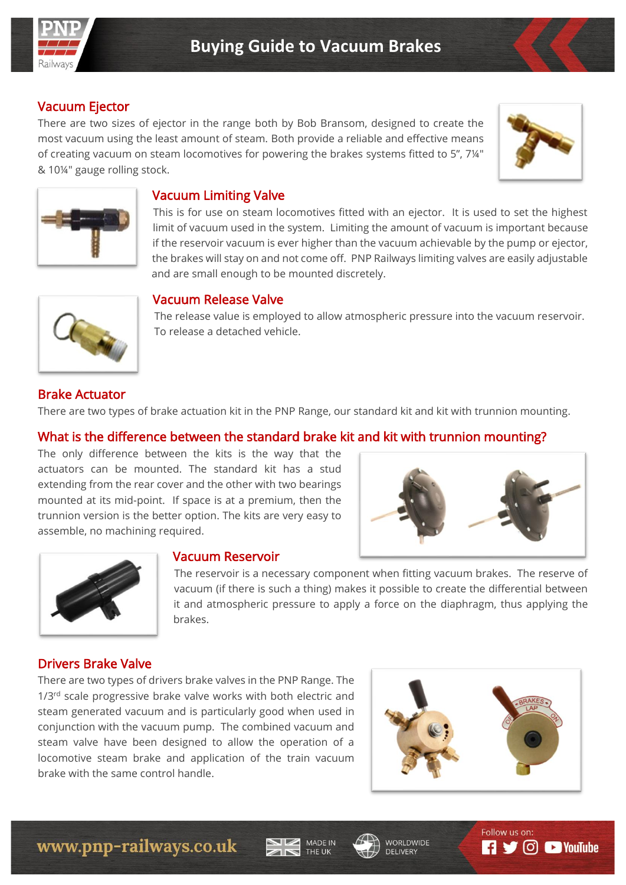

# Vacuum Ejector

There are two sizes of ejector in the range both by Bob Bransom, designed to create the most vacuum using the least amount of steam. Both provide a reliable and effective means of creating vacuum on steam locomotives for powering the brakes systems fitted to 5", 7¼" & 10¼" gauge rolling stock.





## Vacuum Limiting Valve

This is for use on steam locomotives fitted with an ejector. It is used to set the highest limit of vacuum used in the system. Limiting the amount of vacuum is important because if the reservoir vacuum is ever higher than the vacuum achievable by the pump or ejector, the brakes will stay on and not come off. PNP Railways limiting valves are easily adjustable and are small enough to be mounted discretely.



#### Vacuum Release Valve

The release value is employed to allow atmospheric pressure into the vacuum reservoir. To release a detached vehicle.

#### Brake Actuator

There are two types of brake actuation kit in the PNP Range, our standard kit and kit with trunnion mounting.

### What is the difference between the standard brake kit and kit with trunnion mounting?

The only difference between the kits is the way that the actuators can be mounted. The standard kit has a stud extending from the rear cover and the other with two bearings mounted at its mid-point. If space is at a premium, then the trunnion version is the better option. The kits are very easy to assemble, no machining required.





#### Vacuum Reservoir

The reservoir is a necessary component when fitting vacuum brakes. The reserve of vacuum (if there is such a thing) makes it possible to create the differential between it and atmospheric pressure to apply a force on the diaphragm, thus applying the brakes.

#### Drivers Brake Valve

There are two types of drivers brake valves in the PNP Range. The 1/3<sup>rd</sup> scale progressive brake valve works with both electric and steam generated vacuum and is particularly good when used in conjunction with the vacuum pump. The combined vacuum and steam valve have been designed to allow the operation of a locomotive steam brake and application of the train vacuum brake with the same control handle.







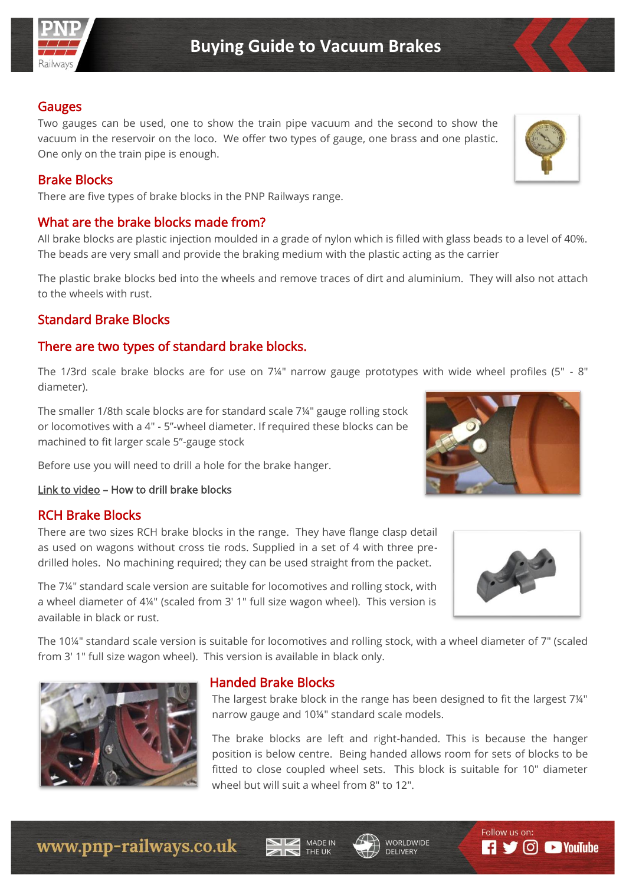

#### Gauges

Two gauges can be used, one to show the train pipe vacuum and the second to show the vacuum in the reservoir on the loco. We offer two types of gauge, one brass and one plastic. One only on the train pipe is enough.

#### Brake Blocks

There are five types of brake blocks in the PNP Railways range.

## What are the brake blocks made from?

All brake blocks are plastic injection moulded in a grade of nylon which is filled with glass beads to a level of 40%. The beads are very small and provide the braking medium with the plastic acting as the carrier

The plastic brake blocks bed into the wheels and remove traces of dirt and aluminium. They will also not attach to the wheels with rust.

# Standard Brake Blocks

# There are two types of standard brake blocks.

The 1/3rd scale brake blocks are for use on 7¼" narrow gauge prototypes with wide wheel profiles (5" - 8" diameter).

The smaller 1/8th scale blocks are for standard scale 7¼" gauge rolling stock or locomotives with a 4" - 5"-wheel diameter. If required these blocks can be machined to fit larger scale 5"-gauge stock

Before use you will need to drill a hole for the brake hanger.

#### [Link to video](https://youtu.be/NQYPbYnFX1I) – How to drill brake blocks

#### RCH Brake Blocks

There are two sizes RCH brake blocks in the range. They have flange clasp detail as used on wagons without cross tie rods. Supplied in a set of 4 with three predrilled holes. No machining required; they can be used straight from the packet.

The 7¼" standard scale version are suitable for locomotives and rolling stock, with a wheel diameter of 4¼" (scaled from 3' 1" full size wagon wheel). This version is available in black or rust.

The 10¼" standard scale version is suitable for locomotives and rolling stock, with a wheel diameter of 7" (scaled from 3' 1" full size wagon wheel). This version is available in black only.



#### Handed Brake Blocks

The largest brake block in the range has been designed to fit the largest 7¼" narrow gauge and 10¼" standard scale models.

The brake blocks are left and right-handed. This is because the hanger position is below centre. Being handed allows room for sets of blocks to be fitted to close coupled wheel sets. This block is suitable for 10" diameter wheel but will suit a wheel from 8" to 12".









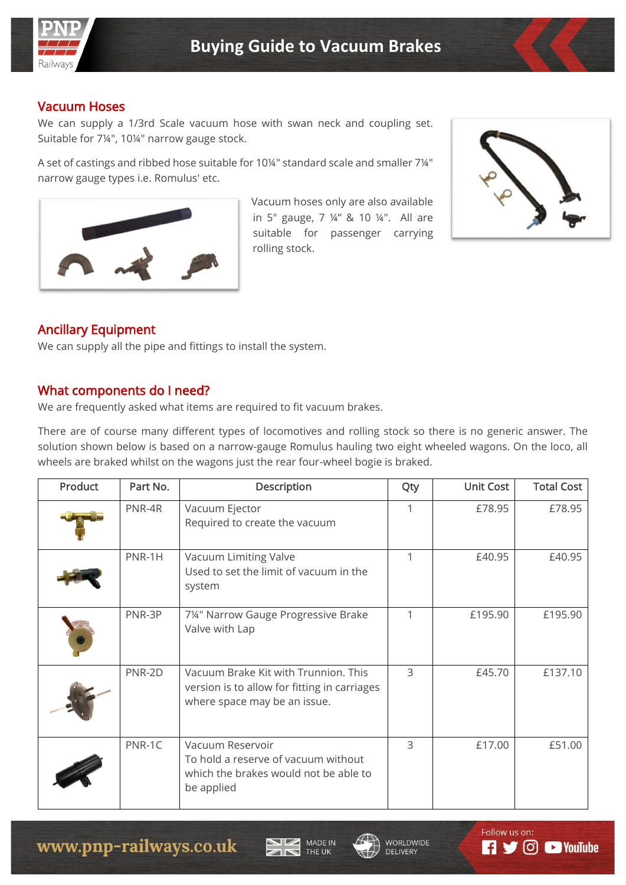

#### Vacuum Hoses

We can supply a 1/3rd Scale vacuum hose with swan neck and coupling set. Suitable for 7¼", 10¼" narrow gauge stock.

A set of castings and ribbed hose suitable for 10¼" standard scale and smaller 7¼" narrow gauge types i.e. Romulus' etc.



Vacuum hoses only are also available in 5" gauge, 7 ¼" & 10 ¼". All are suitable for passenger carrying rolling stock.



# Ancillary Equipment

We can supply all the pipe and fittings to install the system.

#### What components do I need?

We are frequently asked what items are required to fit vacuum brakes.

There are of course many different types of locomotives and rolling stock so there is no generic answer. The solution shown below is based on a narrow-gauge Romulus hauling two eight wheeled wagons. On the loco, all wheels are braked whilst on the wagons just the rear four-wheel bogie is braked.

| <b>Product</b> | Part No. | Description                                                                                                          | Qty | <b>Unit Cost</b> | <b>Total Cost</b> |
|----------------|----------|----------------------------------------------------------------------------------------------------------------------|-----|------------------|-------------------|
|                | PNR-4R   | Vacuum Ejector<br>Required to create the vacuum                                                                      |     | £78.95           | £78.95            |
|                | PNR-1H   | Vacuum Limiting Valve<br>Used to set the limit of vacuum in the<br>system                                            |     | £40.95           | £40.95            |
|                | PNR-3P   | 714" Narrow Gauge Progressive Brake<br>Valve with Lap                                                                |     | £195.90          | £195.90           |
|                | PNR-2D   | Vacuum Brake Kit with Trunnion. This<br>version is to allow for fitting in carriages<br>where space may be an issue. | 3   | £45.70           | £137.10           |
|                | PNR-1C   | Vacuum Reservoir<br>To hold a reserve of vacuum without<br>which the brakes would not be able to<br>be applied       | 3   | £17.00           | £51.00            |





Follow us on:

 $\Box$   $\Box$   $\Box$  YouTube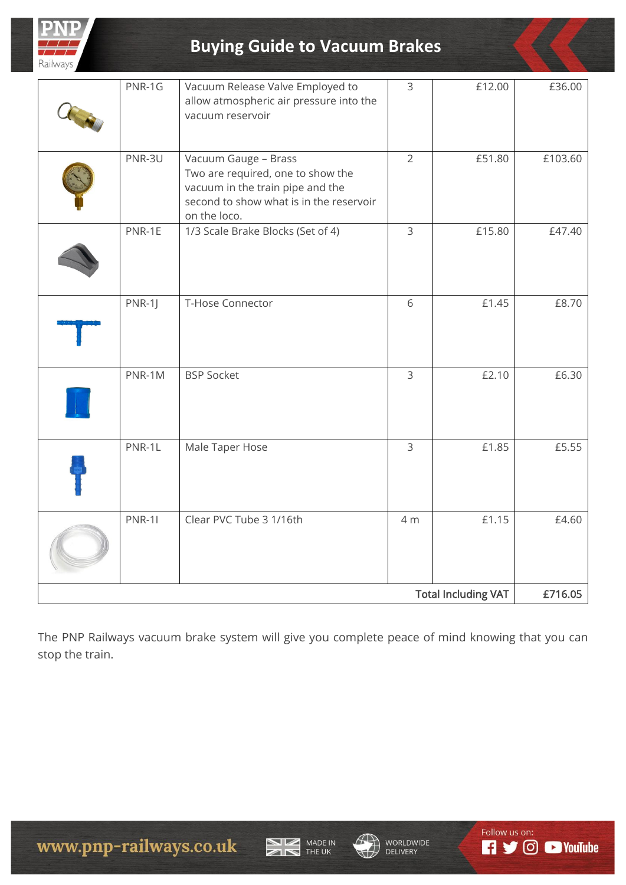

# **Buying Guide to Vacuum Brakes**

| <b>Total Including VAT</b> |               |                                                                                                                                                          | £716.05        |        |         |
|----------------------------|---------------|----------------------------------------------------------------------------------------------------------------------------------------------------------|----------------|--------|---------|
|                            | <b>PNR-11</b> | Clear PVC Tube 3 1/16th                                                                                                                                  | 4 m            | £1.15  | £4.60   |
|                            | PNR-1L        | Male Taper Hose                                                                                                                                          | $\mathsf{3}$   | £1.85  | £5.55   |
|                            | PNR-1M        | <b>BSP Socket</b>                                                                                                                                        | $\mathsf 3$    | £2.10  | £6.30   |
|                            | $PNR-1$       | T-Hose Connector                                                                                                                                         | 6              | £1.45  | £8.70   |
|                            | PNR-1E        | 1/3 Scale Brake Blocks (Set of 4)                                                                                                                        | $\overline{3}$ | £15.80 | £47.40  |
|                            | PNR-3U        | Vacuum Gauge - Brass<br>Two are required, one to show the<br>vacuum in the train pipe and the<br>second to show what is in the reservoir<br>on the loco. | $\overline{2}$ | £51.80 | £103.60 |
|                            | PNR-1G        | Vacuum Release Valve Employed to<br>allow atmospheric air pressure into the<br>vacuum reservoir                                                          | $\overline{3}$ | £12.00 | £36.00  |
|                            |               |                                                                                                                                                          |                |        |         |

The PNP Railways vacuum brake system will give you complete peace of mind knowing that you can stop the train.







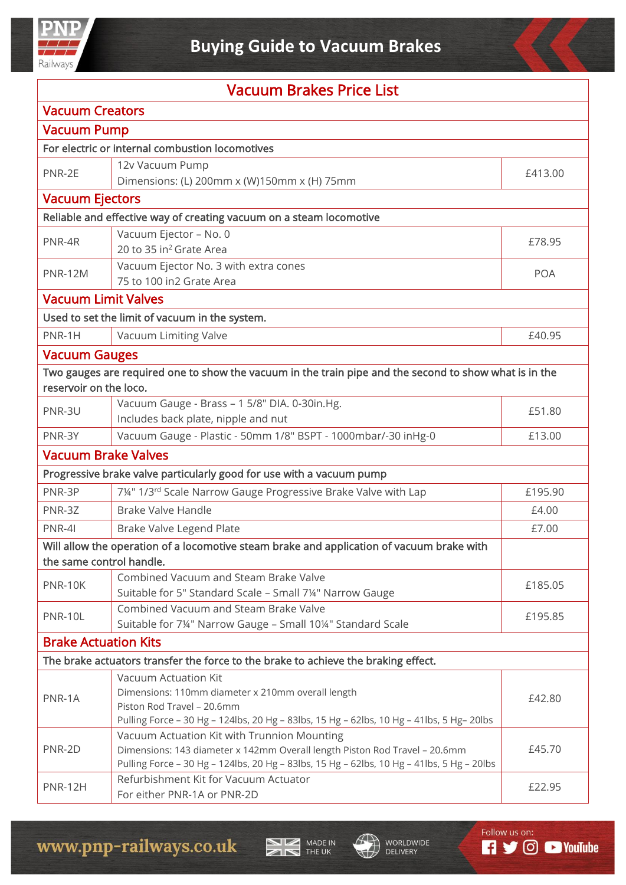

| <b>Vacuum Brakes Price List</b> |                                                                                                        |            |  |  |
|---------------------------------|--------------------------------------------------------------------------------------------------------|------------|--|--|
| <b>Vacuum Creators</b>          |                                                                                                        |            |  |  |
| <b>Vacuum Pump</b>              |                                                                                                        |            |  |  |
|                                 | For electric or internal combustion locomotives                                                        |            |  |  |
| PNR-2E                          | 12v Vacuum Pump                                                                                        | £413.00    |  |  |
|                                 | Dimensions: (L) 200mm x (W)150mm x (H) 75mm                                                            |            |  |  |
| <b>Vacuum Ejectors</b>          |                                                                                                        |            |  |  |
|                                 | Reliable and effective way of creating vacuum on a steam locomotive                                    |            |  |  |
| PNR-4R                          | Vacuum Ejector - No. 0                                                                                 | £78.95     |  |  |
|                                 | 20 to 35 in <sup>2</sup> Grate Area                                                                    |            |  |  |
| <b>PNR-12M</b>                  | Vacuum Ejector No. 3 with extra cones<br>75 to 100 in2 Grate Area                                      | <b>POA</b> |  |  |
| <b>Vacuum Limit Valves</b>      |                                                                                                        |            |  |  |
|                                 |                                                                                                        |            |  |  |
|                                 | Used to set the limit of vacuum in the system.                                                         |            |  |  |
| PNR-1H                          | Vacuum Limiting Valve                                                                                  | £40.95     |  |  |
| <b>Vacuum Gauges</b>            |                                                                                                        |            |  |  |
|                                 | Two gauges are required one to show the vacuum in the train pipe and the second to show what is in the |            |  |  |
| reservoir on the loco.          |                                                                                                        |            |  |  |
| PNR-3U                          | Vacuum Gauge - Brass - 1 5/8" DIA. 0-30in.Hg.<br>Includes back plate, nipple and nut                   | £51.80     |  |  |
| PNR-3Y                          | Vacuum Gauge - Plastic - 50mm 1/8" BSPT - 1000mbar/-30 inHg-0                                          | £13.00     |  |  |
| <b>Vacuum Brake Valves</b>      |                                                                                                        |            |  |  |
|                                 | Progressive brake valve particularly good for use with a vacuum pump                                   |            |  |  |
| PNR-3P                          | 7¼" 1/3rd Scale Narrow Gauge Progressive Brake Valve with Lap                                          | £195.90    |  |  |
| PNR-3Z                          | <b>Brake Valve Handle</b>                                                                              | £4.00      |  |  |
| PNR-4I                          | Brake Valve Legend Plate                                                                               | £7.00      |  |  |
|                                 | Will allow the operation of a locomotive steam brake and application of vacuum brake with              |            |  |  |
| the same control handle.        |                                                                                                        |            |  |  |
| PNR-10K                         | Combined Vacuum and Steam Brake Valve                                                                  | £185.05    |  |  |
|                                 | Suitable for 5" Standard Scale - Small 7¼" Narrow Gauge                                                |            |  |  |
| <b>PNR-10L</b>                  | Combined Vacuum and Steam Brake Valve                                                                  | £195.85    |  |  |
|                                 | Suitable for 7¼" Narrow Gauge - Small 10¼" Standard Scale                                              |            |  |  |
| <b>Brake Actuation Kits</b>     |                                                                                                        |            |  |  |
|                                 | The brake actuators transfer the force to the brake to achieve the braking effect.                     |            |  |  |
|                                 | <b>Vacuum Actuation Kit</b>                                                                            | £42.80     |  |  |
| PNR-1A                          | Dimensions: 110mm diameter x 210mm overall length<br>Piston Rod Travel - 20.6mm                        |            |  |  |
|                                 | Pulling Force - 30 Hg - 124lbs, 20 Hg - 83lbs, 15 Hg - 62lbs, 10 Hg - 41lbs, 5 Hg- 20lbs               |            |  |  |
|                                 | Vacuum Actuation Kit with Trunnion Mounting                                                            | £45.70     |  |  |
| PNR-2D                          | Dimensions: 143 diameter x 142mm Overall length Piston Rod Travel - 20.6mm                             |            |  |  |
|                                 | Pulling Force - 30 Hg - 124lbs, 20 Hg - 83lbs, 15 Hg - 62lbs, 10 Hg - 41lbs, 5 Hg - 20lbs              |            |  |  |
| <b>PNR-12H</b>                  | Refurbishment Kit for Vacuum Actuator                                                                  | £22.95     |  |  |

For either PNR-1A or PNR-2D

MADE IN

WORLDWIDE<br>DELIVERY

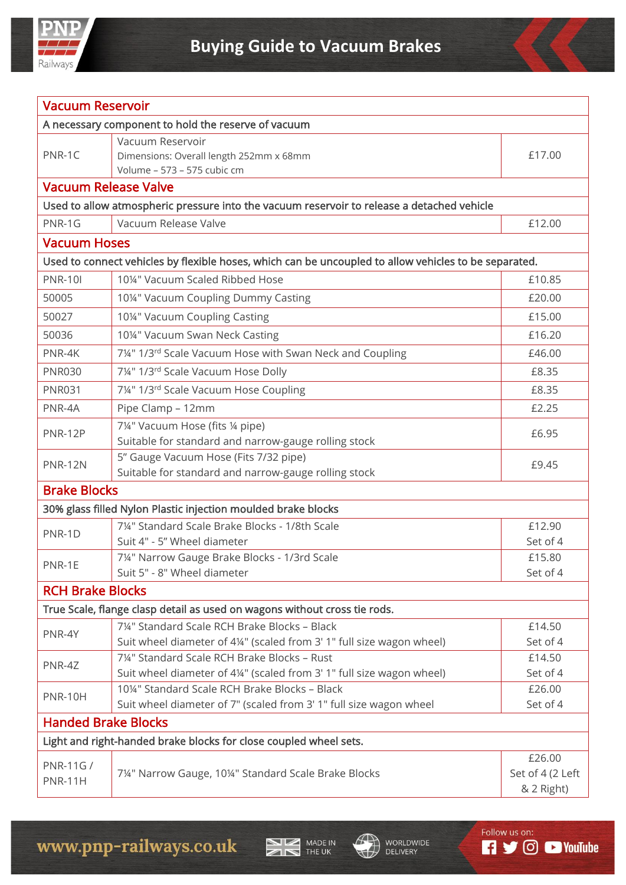

| <b>Vacuum Reservoir</b>                                                                    |                                                                                                                    |                    |  |  |
|--------------------------------------------------------------------------------------------|--------------------------------------------------------------------------------------------------------------------|--------------------|--|--|
| A necessary component to hold the reserve of vacuum                                        |                                                                                                                    |                    |  |  |
| PNR-1C                                                                                     | Vacuum Reservoir<br>Dimensions: Overall length 252mm x 68mm<br>Volume - 573 - 575 cubic cm                         | £17.00             |  |  |
| <b>Vacuum Release Valve</b>                                                                |                                                                                                                    |                    |  |  |
| Used to allow atmospheric pressure into the vacuum reservoir to release a detached vehicle |                                                                                                                    |                    |  |  |
| PNR-1G                                                                                     | Vacuum Release Valve<br>£12.00                                                                                     |                    |  |  |
| <b>Vacuum Hoses</b>                                                                        |                                                                                                                    |                    |  |  |
|                                                                                            | Used to connect vehicles by flexible hoses, which can be uncoupled to allow vehicles to be separated.              |                    |  |  |
| <b>PNR-10I</b>                                                                             | 10¼" Vacuum Scaled Ribbed Hose                                                                                     | £10.85             |  |  |
| 50005                                                                                      | 10¼" Vacuum Coupling Dummy Casting                                                                                 | £20.00             |  |  |
| 50027                                                                                      | 10¼" Vacuum Coupling Casting                                                                                       | £15.00             |  |  |
| 50036                                                                                      | 10¼" Vacuum Swan Neck Casting                                                                                      | £16.20             |  |  |
| PNR-4K                                                                                     | 7¼" 1/3 <sup>rd</sup> Scale Vacuum Hose with Swan Neck and Coupling                                                | £46.00             |  |  |
| <b>PNR030</b>                                                                              | 7¼" 1/3rd Scale Vacuum Hose Dolly                                                                                  | £8.35              |  |  |
| <b>PNR031</b>                                                                              | 7¼" 1/3rd Scale Vacuum Hose Coupling                                                                               | £8.35              |  |  |
| PNR-4A                                                                                     | Pipe Clamp - 12mm                                                                                                  | £2.25              |  |  |
|                                                                                            | 7¼" Vacuum Hose (fits ¼ pipe)                                                                                      | £6.95              |  |  |
| PNR-12P                                                                                    | Suitable for standard and narrow-gauge rolling stock                                                               |                    |  |  |
| <b>PNR-12N</b>                                                                             | 5" Gauge Vacuum Hose (Fits 7/32 pipe)                                                                              | £9.45              |  |  |
|                                                                                            | Suitable for standard and narrow-gauge rolling stock                                                               |                    |  |  |
| <b>Brake Blocks</b>                                                                        |                                                                                                                    |                    |  |  |
|                                                                                            | 30% glass filled Nylon Plastic injection moulded brake blocks                                                      |                    |  |  |
| PNR-1D                                                                                     | 7¼" Standard Scale Brake Blocks - 1/8th Scale                                                                      | £12.90             |  |  |
|                                                                                            | Suit 4" - 5" Wheel diameter                                                                                        | Set of 4           |  |  |
| PNR-1E                                                                                     | 7¼" Narrow Gauge Brake Blocks - 1/3rd Scale                                                                        | £15.80             |  |  |
|                                                                                            | Suit 5" - 8" Wheel diameter                                                                                        | Set of 4           |  |  |
| <b>RCH Brake Blocks</b>                                                                    |                                                                                                                    |                    |  |  |
|                                                                                            | True Scale, flange clasp detail as used on wagons without cross tie rods.                                          |                    |  |  |
| PNR-4Y                                                                                     | 71/4" Standard Scale RCH Brake Blocks - Black                                                                      | £14.50             |  |  |
|                                                                                            | Suit wheel diameter of 4¼" (scaled from 3' 1" full size wagon wheel)<br>7¼" Standard Scale RCH Brake Blocks - Rust | Set of 4<br>£14.50 |  |  |
| PNR-4Z                                                                                     | Suit wheel diameter of 4¼" (scaled from 3' 1" full size wagon wheel)                                               | Set of 4           |  |  |
|                                                                                            | 10¼" Standard Scale RCH Brake Blocks - Black                                                                       | £26.00             |  |  |
| <b>PNR-10H</b>                                                                             | Suit wheel diameter of 7" (scaled from 3' 1" full size wagon wheel                                                 | Set of 4           |  |  |
| <b>Handed Brake Blocks</b>                                                                 |                                                                                                                    |                    |  |  |
| Light and right-handed brake blocks for close coupled wheel sets.                          |                                                                                                                    |                    |  |  |
|                                                                                            |                                                                                                                    | £26.00             |  |  |
| PNR-11G/<br><b>PNR-11H</b>                                                                 | 7¼" Narrow Gauge, 10¼" Standard Scale Brake Blocks                                                                 | Set of 4 (2 Left   |  |  |
|                                                                                            |                                                                                                                    | & 2 Right)         |  |  |

MADE IN



Follow us on:

**R S** © **D** YouTube